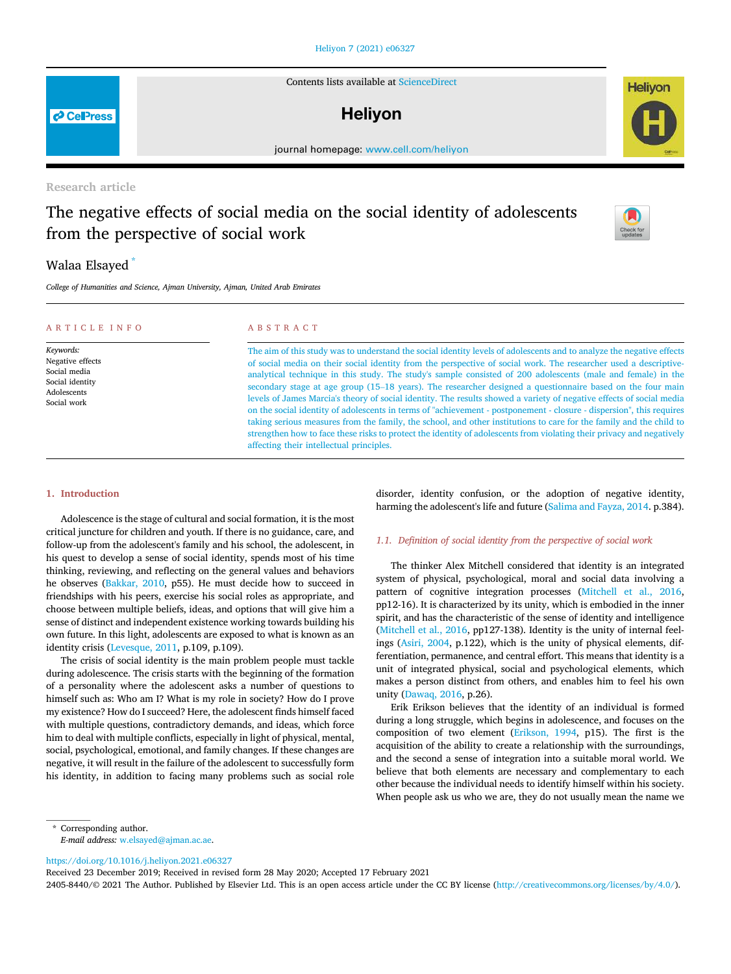#### Heliyon 7 (2021) e06327

Contents lists available at ScienceDirect

# **Helivon**

journal homepage: www.cell.com/heliyon

# Research article

# The negative effects of social media on the social identity of adolescents from the perspective of social work

# Walaa Elsayed

*College of Humanities and Science, Ajman University, Ajman, United Arab Emirates*

| ARTICLE INFO                                                                                   | ABSTRACT                                                                                                                                                                                                                                                                                                                                                                                                                                                                                                                                                                                                                                                                                                                                                                                                                                                                                                                                                                                                            |
|------------------------------------------------------------------------------------------------|---------------------------------------------------------------------------------------------------------------------------------------------------------------------------------------------------------------------------------------------------------------------------------------------------------------------------------------------------------------------------------------------------------------------------------------------------------------------------------------------------------------------------------------------------------------------------------------------------------------------------------------------------------------------------------------------------------------------------------------------------------------------------------------------------------------------------------------------------------------------------------------------------------------------------------------------------------------------------------------------------------------------|
| Keywords:<br>Negative effects<br>Social media<br>Social identity<br>Adolescents<br>Social work | The aim of this study was to understand the social identity levels of adolescents and to analyze the negative effects<br>of social media on their social identity from the perspective of social work. The researcher used a descriptive-<br>analytical technique in this study. The study's sample consisted of 200 adolescents (male and female) in the<br>secondary stage at age group (15–18 years). The researcher designed a questionnaire based on the four main<br>levels of James Marcia's theory of social identity. The results showed a variety of negative effects of social media<br>on the social identity of adolescents in terms of "achievement - postponement - closure - dispersion", this requires<br>taking serious measures from the family, the school, and other institutions to care for the family and the child to<br>strengthen how to face these risks to protect the identity of adolescents from violating their privacy and negatively<br>affecting their intellectual principles. |

### 1. Introduction

Adolescence is the stage of cultural and social formation, it is the most critical juncture for children and youth. If there is no guidance, care, and follow-up from the adolescent's family and his school, the adolescent, in his quest to develop a sense of social identity, spends most of his time thinking, reviewing, and reflecting on the general values and behaviors he observes (Bakkar, 2010, p55). He must decide how to succeed in friendships with his peers, exercise his social roles as appropriate, and choose between multiple beliefs, ideas, and options that will give him a sense of distinct and independent existence working towards building his own future. In this light, adolescents are exposed to what is known as an identity crisis (Levesque, 2011, p.109, p.109).

The crisis of social identity is the main problem people must tackle during adolescence. The crisis starts with the beginning of the formation of a personality where the adolescent asks a number of questions to himself such as: Who am I? What is my role in society? How do I prove my existence? How do I succeed? Here, the adolescent finds himself faced with multiple questions, contradictory demands, and ideas, which force him to deal with multiple conflicts, especially in light of physical, mental, social, psychological, emotional, and family changes. If these changes are negative, it will result in the failure of the adolescent to successfully form his identity, in addition to facing many problems such as social role

disorder, identity confusion, or the adoption of negative identity, harming the adolescent's life and future (Salima and Fayza, 2014. p.384).

# *1.1. De*fi*nition of social identity from the perspective of social work*

The thinker Alex Mitchell considered that identity is an integrated system of physical, psychological, moral and social data involving a pattern of cognitive integration processes (Mitchell et al., 2016, pp12-16). It is characterized by its unity, which is embodied in the inner spirit, and has the characteristic of the sense of identity and intelligence (Mitchell et al., 2016, pp127-138). Identity is the unity of internal feelings (Asiri, 2004, p.122), which is the unity of physical elements, differentiation, permanence, and central effort. This means that identity is a unit of integrated physical, social and psychological elements, which makes a person distinct from others, and enables him to feel his own unity (Dawaq, 2016, p.26).

Erik Erikson believes that the identity of an individual is formed during a long struggle, which begins in adolescence, and focuses on the composition of two element (Erikson, 1994, p15). The first is the acquisition of the ability to create a relationship with the surroundings, and the second a sense of integration into a suitable moral world. We believe that both elements are necessary and complementary to each other because the individual needs to identify himself within his society. When people ask us who we are, they do not usually mean the name we

\* Corresponding author.

*E-mail address:* w.elsayed@ajman.ac.ae.

https://doi.org/10.1016/j.heliyon.2021.e06327

Received 23 December 2019; Received in revised form 28 May 2020; Accepted 17 February 2021

2405-8440/© 2021 The Author. Published by Elsevier Ltd. This is an open access article under the CC BY license (http://creativecommons.org/licenses/by/4.0/).





**P** CellPress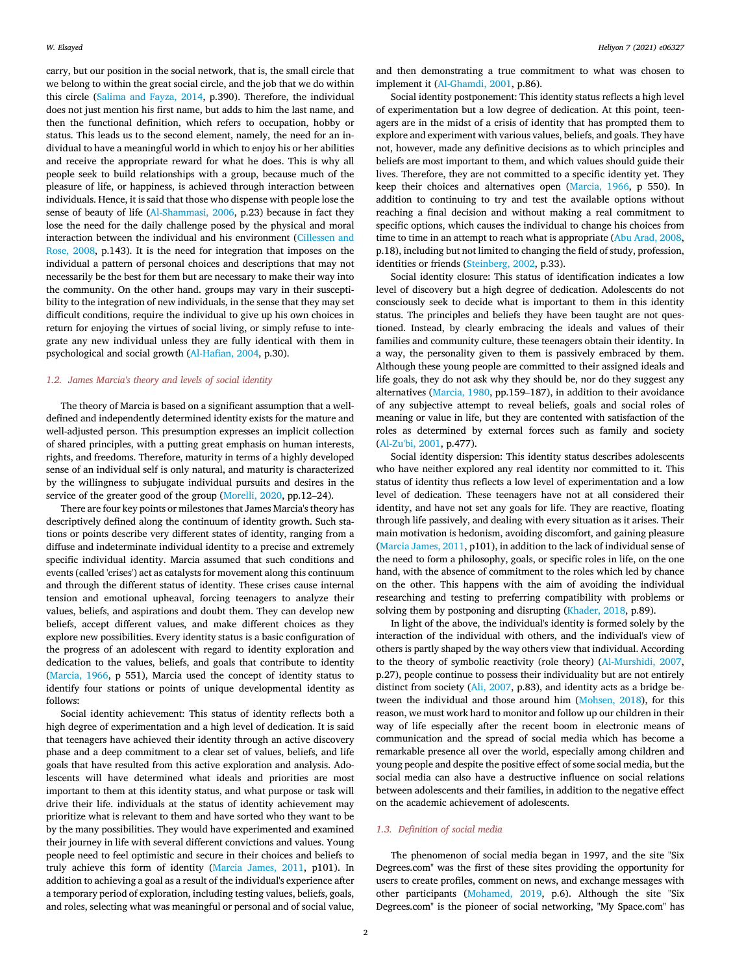carry, but our position in the social network, that is, the small circle that we belong to within the great social circle, and the job that we do within this circle (Salima and Fayza, 2014, p.390). Therefore, the individual does not just mention his first name, but adds to him the last name, and then the functional definition, which refers to occupation, hobby or status. This leads us to the second element, namely, the need for an individual to have a meaningful world in which to enjoy his or her abilities and receive the appropriate reward for what he does. This is why all people seek to build relationships with a group, because much of the pleasure of life, or happiness, is achieved through interaction between individuals. Hence, it is said that those who dispense with people lose the sense of beauty of life (Al-Shammasi, 2006, p.23) because in fact they lose the need for the daily challenge posed by the physical and moral interaction between the individual and his environment (Cillessen and Rose, 2008, p.143). It is the need for integration that imposes on the individual a pattern of personal choices and descriptions that may not necessarily be the best for them but are necessary to make their way into the community. On the other hand. groups may vary in their susceptibility to the integration of new individuals, in the sense that they may set difficult conditions, require the individual to give up his own choices in return for enjoying the virtues of social living, or simply refuse to integrate any new individual unless they are fully identical with them in psychological and social growth (Al-Hafian, 2004, p.30).

#### *1.2. James Marcia's theory and levels of social identity*

The theory of Marcia is based on a significant assumption that a welldefined and independently determined identity exists for the mature and well-adjusted person. This presumption expresses an implicit collection of shared principles, with a putting great emphasis on human interests, rights, and freedoms. Therefore, maturity in terms of a highly developed sense of an individual self is only natural, and maturity is characterized by the willingness to subjugate individual pursuits and desires in the service of the greater good of the group (Morelli, 2020, pp.12–24).

There are four key points or milestones that James Marcia's theory has descriptively defined along the continuum of identity growth. Such stations or points describe very different states of identity, ranging from a diffuse and indeterminate individual identity to a precise and extremely specific individual identity. Marcia assumed that such conditions and events (called 'crises') act as catalysts for movement along this continuum and through the different status of identity. These crises cause internal tension and emotional upheaval, forcing teenagers to analyze their values, beliefs, and aspirations and doubt them. They can develop new beliefs, accept different values, and make different choices as they explore new possibilities. Every identity status is a basic configuration of the progress of an adolescent with regard to identity exploration and dedication to the values, beliefs, and goals that contribute to identity (Marcia, 1966, p 551), Marcia used the concept of identity status to identify four stations or points of unique developmental identity as follows:

Social identity achievement: This status of identity reflects both a high degree of experimentation and a high level of dedication. It is said that teenagers have achieved their identity through an active discovery phase and a deep commitment to a clear set of values, beliefs, and life goals that have resulted from this active exploration and analysis. Adolescents will have determined what ideals and priorities are most important to them at this identity status, and what purpose or task will drive their life. individuals at the status of identity achievement may prioritize what is relevant to them and have sorted who they want to be by the many possibilities. They would have experimented and examined their journey in life with several different convictions and values. Young people need to feel optimistic and secure in their choices and beliefs to truly achieve this form of identity (Marcia James, 2011, p101). In addition to achieving a goal as a result of the individual's experience after a temporary period of exploration, including testing values, beliefs, goals, and roles, selecting what was meaningful or personal and of social value,

and then demonstrating a true commitment to what was chosen to implement it (Al-Ghamdi, 2001, p.86).

Social identity postponement: This identity status reflects a high level of experimentation but a low degree of dedication. At this point, teenagers are in the midst of a crisis of identity that has prompted them to explore and experiment with various values, beliefs, and goals. They have not, however, made any definitive decisions as to which principles and beliefs are most important to them, and which values should guide their lives. Therefore, they are not committed to a specific identity yet. They keep their choices and alternatives open (Marcia, 1966, p 550). In addition to continuing to try and test the available options without reaching a final decision and without making a real commitment to specific options, which causes the individual to change his choices from time to time in an attempt to reach what is appropriate (Abu Arad, 2008, p.18), including but not limited to changing the field of study, profession, identities or friends (Steinberg, 2002, p.33).

Social identity closure: This status of identification indicates a low level of discovery but a high degree of dedication. Adolescents do not consciously seek to decide what is important to them in this identity status. The principles and beliefs they have been taught are not questioned. Instead, by clearly embracing the ideals and values of their families and community culture, these teenagers obtain their identity. In a way, the personality given to them is passively embraced by them. Although these young people are committed to their assigned ideals and life goals, they do not ask why they should be, nor do they suggest any alternatives (Marcia, 1980, pp.159–187), in addition to their avoidance of any subjective attempt to reveal beliefs, goals and social roles of meaning or value in life, but they are contented with satisfaction of the roles as determined by external forces such as family and society (Al-Zu'bi, 2001, p.477).

Social identity dispersion: This identity status describes adolescents who have neither explored any real identity nor committed to it. This status of identity thus reflects a low level of experimentation and a low level of dedication. These teenagers have not at all considered their identity, and have not set any goals for life. They are reactive, floating through life passively, and dealing with every situation as it arises. Their main motivation is hedonism, avoiding discomfort, and gaining pleasure (Marcia James, 2011, p101), in addition to the lack of individual sense of the need to form a philosophy, goals, or specific roles in life, on the one hand, with the absence of commitment to the roles which led by chance on the other. This happens with the aim of avoiding the individual researching and testing to preferring compatibility with problems or solving them by postponing and disrupting (Khader, 2018, p.89).

In light of the above, the individual's identity is formed solely by the interaction of the individual with others, and the individual's view of others is partly shaped by the way others view that individual. According to the theory of symbolic reactivity (role theory) (Al-Murshidi, 2007, p.27), people continue to possess their individuality but are not entirely distinct from society (Ali, 2007, p.83), and identity acts as a bridge between the individual and those around him (Mohsen, 2018), for this reason, we must work hard to monitor and follow up our children in their way of life especially after the recent boom in electronic means of communication and the spread of social media which has become a remarkable presence all over the world, especially among children and young people and despite the positive effect of some social media, but the social media can also have a destructive influence on social relations between adolescents and their families, in addition to the negative effect on the academic achievement of adolescents.

#### *1.3. De*fi*nition of social media*

The phenomenon of social media began in 1997, and the site "Six Degrees.com" was the first of these sites providing the opportunity for users to create profiles, comment on news, and exchange messages with other participants (Mohamed, 2019, p.6). Although the site "Six Degrees.com" is the pioneer of social networking, "My Space.com" has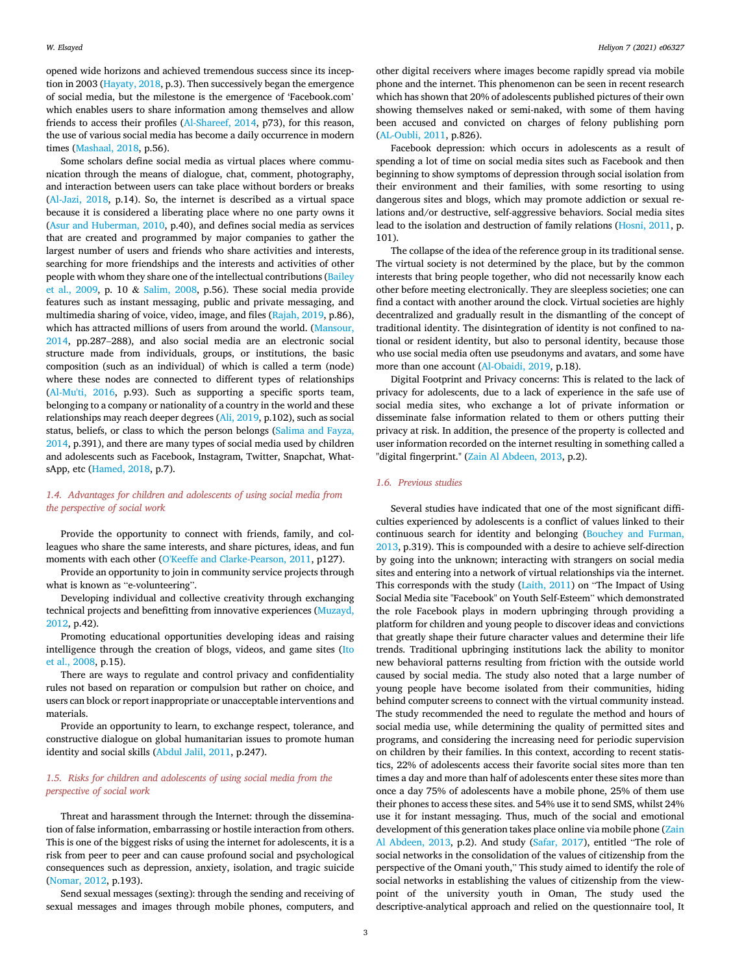opened wide horizons and achieved tremendous success since its inception in 2003 (Hayaty, 2018, p.3). Then successively began the emergence of social media, but the milestone is the emergence of 'Facebook.com' which enables users to share information among themselves and allow friends to access their profiles (Al-Shareef, 2014, p73), for this reason, the use of various social media has become a daily occurrence in modern times (Mashaal, 2018, p.56).

Some scholars define social media as virtual places where communication through the means of dialogue, chat, comment, photography, and interaction between users can take place without borders or breaks (Al-Jazi, 2018, p.14). So, the internet is described as a virtual space because it is considered a liberating place where no one party owns it (Asur and Huberman, 2010, p.40), and defines social media as services that are created and programmed by major companies to gather the largest number of users and friends who share activities and interests, searching for more friendships and the interests and activities of other people with whom they share one of the intellectual contributions (Bailey et al., 2009, p. 10 & Salim, 2008, p.56). These social media provide features such as instant messaging, public and private messaging, and multimedia sharing of voice, video, image, and files (Rajah, 2019, p.86), which has attracted millions of users from around the world. (Mansour, 2014, pp.287–288), and also social media are an electronic social structure made from individuals, groups, or institutions, the basic composition (such as an individual) of which is called a term (node) where these nodes are connected to different types of relationships (Al-Mu'ti, 2016, p.93). Such as supporting a specific sports team, belonging to a company or nationality of a country in the world and these relationships may reach deeper degrees (Ali, 2019, p.102), such as social status, beliefs, or class to which the person belongs (Salima and Fayza, 2014, p.391), and there are many types of social media used by children and adolescents such as Facebook, Instagram, Twitter, Snapchat, WhatsApp, etc (Hamed, 2018, p.7).

# *1.4. Advantages for children and adolescents of using social media from the perspective of social work*

Provide the opportunity to connect with friends, family, and colleagues who share the same interests, and share pictures, ideas, and fun moments with each other (O'Keeffe and Clarke-Pearson, 2011, p127).

Provide an opportunity to join in community service projects through what is known as "e-volunteering".

Developing individual and collective creativity through exchanging technical projects and benefitting from innovative experiences (Muzayd, 2012, p.42).

Promoting educational opportunities developing ideas and raising intelligence through the creation of blogs, videos, and game sites (Ito et al., 2008, p.15).

There are ways to regulate and control privacy and confidentiality rules not based on reparation or compulsion but rather on choice, and users can block or report inappropriate or unacceptable interventions and materials.

Provide an opportunity to learn, to exchange respect, tolerance, and constructive dialogue on global humanitarian issues to promote human identity and social skills (Abdul Jalil, 2011, p.247).

# *1.5. Risks for children and adolescents of using social media from the perspective of social work*

Threat and harassment through the Internet: through the dissemination of false information, embarrassing or hostile interaction from others. This is one of the biggest risks of using the internet for adolescents, it is a risk from peer to peer and can cause profound social and psychological consequences such as depression, anxiety, isolation, and tragic suicide (Nomar, 2012, p.193).

Send sexual messages (sexting): through the sending and receiving of sexual messages and images through mobile phones, computers, and

other digital receivers where images become rapidly spread via mobile phone and the internet. This phenomenon can be seen in recent research which has shown that 20% of adolescents published pictures of their own showing themselves naked or semi-naked, with some of them having been accused and convicted on charges of felony publishing porn (AL-Oubli, 2011, p.826).

Facebook depression: which occurs in adolescents as a result of spending a lot of time on social media sites such as Facebook and then beginning to show symptoms of depression through social isolation from their environment and their families, with some resorting to using dangerous sites and blogs, which may promote addiction or sexual relations and/or destructive, self-aggressive behaviors. Social media sites lead to the isolation and destruction of family relations (Hosni, 2011, p. 101).

The collapse of the idea of the reference group in its traditional sense. The virtual society is not determined by the place, but by the common interests that bring people together, who did not necessarily know each other before meeting electronically. They are sleepless societies; one can find a contact with another around the clock. Virtual societies are highly decentralized and gradually result in the dismantling of the concept of traditional identity. The disintegration of identity is not confined to national or resident identity, but also to personal identity, because those who use social media often use pseudonyms and avatars, and some have more than one account (Al-Obaidi, 2019, p.18).

Digital Footprint and Privacy concerns: This is related to the lack of privacy for adolescents, due to a lack of experience in the safe use of social media sites, who exchange a lot of private information or disseminate false information related to them or others putting their privacy at risk. In addition, the presence of the property is collected and user information recorded on the internet resulting in something called a "digital fingerprint." (Zain Al Abdeen, 2013, p.2).

# *1.6. Previous studies*

Several studies have indicated that one of the most significant difficulties experienced by adolescents is a conflict of values linked to their continuous search for identity and belonging (Bouchey and Furman, 2013, p.319). This is compounded with a desire to achieve self-direction by going into the unknown; interacting with strangers on social media sites and entering into a network of virtual relationships via the internet. This corresponds with the study (Laith, 2011) on "The Impact of Using Social Media site "Facebook" on Youth Self-Esteem" which demonstrated the role Facebook plays in modern upbringing through providing a platform for children and young people to discover ideas and convictions that greatly shape their future character values and determine their life trends. Traditional upbringing institutions lack the ability to monitor new behavioral patterns resulting from friction with the outside world caused by social media. The study also noted that a large number of young people have become isolated from their communities, hiding behind computer screens to connect with the virtual community instead. The study recommended the need to regulate the method and hours of social media use, while determining the quality of permitted sites and programs, and considering the increasing need for periodic supervision on children by their families. In this context, according to recent statistics, 22% of adolescents access their favorite social sites more than ten times a day and more than half of adolescents enter these sites more than once a day 75% of adolescents have a mobile phone, 25% of them use their phones to access these sites. and 54% use it to send SMS, whilst 24% use it for instant messaging. Thus, much of the social and emotional development of this generation takes place online via mobile phone (Zain Al Abdeen, 2013, p.2). And study (Safar, 2017), entitled "The role of social networks in the consolidation of the values of citizenship from the perspective of the Omani youth," This study aimed to identify the role of social networks in establishing the values of citizenship from the viewpoint of the university youth in Oman, The study used the descriptive-analytical approach and relied on the questionnaire tool, It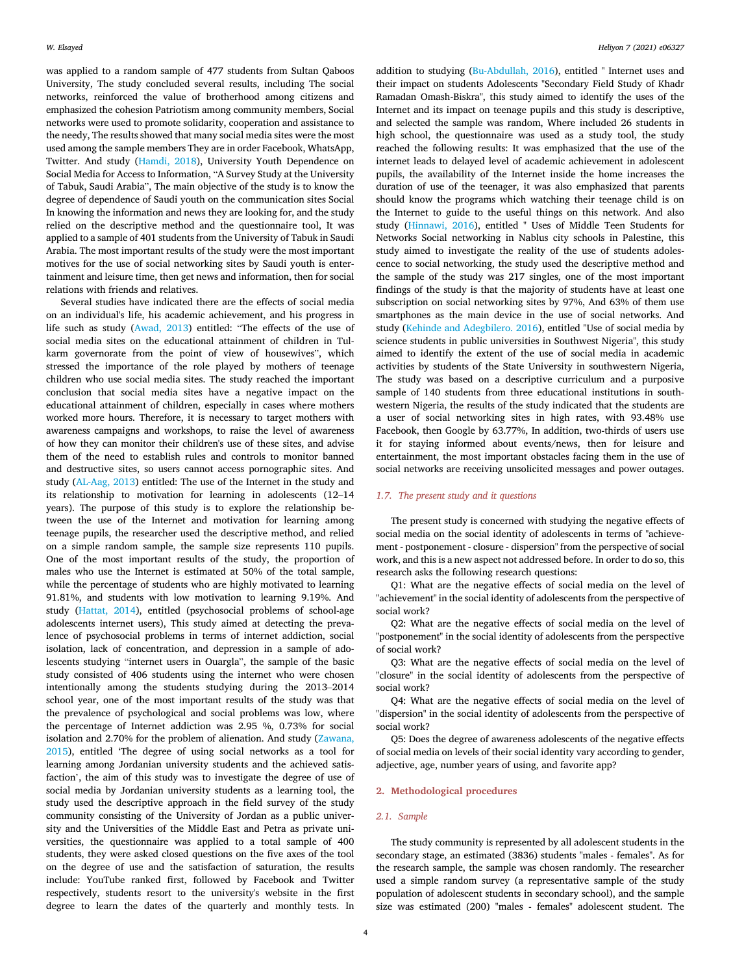was applied to a random sample of 477 students from Sultan Qaboos University, The study concluded several results, including The social networks, reinforced the value of brotherhood among citizens and emphasized the cohesion Patriotism among community members, Social networks were used to promote solidarity, cooperation and assistance to the needy, The results showed that many social media sites were the most used among the sample members They are in order Facebook, WhatsApp, Twitter. And study (Hamdi, 2018), University Youth Dependence on Social Media for Access to Information, "A Survey Study at the University of Tabuk, Saudi Arabia", The main objective of the study is to know the degree of dependence of Saudi youth on the communication sites Social In knowing the information and news they are looking for, and the study relied on the descriptive method and the questionnaire tool, It was applied to a sample of 401 students from the University of Tabuk in Saudi Arabia. The most important results of the study were the most important motives for the use of social networking sites by Saudi youth is entertainment and leisure time, then get news and information, then for social relations with friends and relatives.

Several studies have indicated there are the effects of social media on an individual's life, his academic achievement, and his progress in life such as study (Awad, 2013) entitled: "The effects of the use of social media sites on the educational attainment of children in Tulkarm governorate from the point of view of housewives", which stressed the importance of the role played by mothers of teenage children who use social media sites. The study reached the important conclusion that social media sites have a negative impact on the educational attainment of children, especially in cases where mothers worked more hours. Therefore, it is necessary to target mothers with awareness campaigns and workshops, to raise the level of awareness of how they can monitor their children's use of these sites, and advise them of the need to establish rules and controls to monitor banned and destructive sites, so users cannot access pornographic sites. And study (AL-Aag, 2013) entitled: The use of the Internet in the study and its relationship to motivation for learning in adolescents (12–14 years). The purpose of this study is to explore the relationship between the use of the Internet and motivation for learning among teenage pupils, the researcher used the descriptive method, and relied on a simple random sample, the sample size represents 110 pupils. One of the most important results of the study, the proportion of males who use the Internet is estimated at 50% of the total sample, while the percentage of students who are highly motivated to learning 91.81%, and students with low motivation to learning 9.19%. And study (Hattat, 2014), entitled (psychosocial problems of school-age adolescents internet users), This study aimed at detecting the prevalence of psychosocial problems in terms of internet addiction, social isolation, lack of concentration, and depression in a sample of adolescents studying "internet users in Ouargla", the sample of the basic study consisted of 406 students using the internet who were chosen intentionally among the students studying during the 2013–2014 school year, one of the most important results of the study was that the prevalence of psychological and social problems was low, where the percentage of Internet addiction was 2.95 %, 0.73% for social isolation and 2.70% for the problem of alienation. And study (Zawana, 2015), entitled 'The degree of using social networks as a tool for learning among Jordanian university students and the achieved satisfaction', the aim of this study was to investigate the degree of use of social media by Jordanian university students as a learning tool, the study used the descriptive approach in the field survey of the study community consisting of the University of Jordan as a public university and the Universities of the Middle East and Petra as private universities, the questionnaire was applied to a total sample of 400 students, they were asked closed questions on the five axes of the tool on the degree of use and the satisfaction of saturation, the results include: YouTube ranked first, followed by Facebook and Twitter respectively, students resort to the university's website in the first degree to learn the dates of the quarterly and monthly tests. In

addition to studying (Bu-Abdullah, 2016), entitled " Internet uses and their impact on students Adolescents "Secondary Field Study of Khadr Ramadan Omash-Biskra", this study aimed to identify the uses of the Internet and its impact on teenage pupils and this study is descriptive, and selected the sample was random, Where included 26 students in high school, the questionnaire was used as a study tool, the study reached the following results: It was emphasized that the use of the internet leads to delayed level of academic achievement in adolescent pupils, the availability of the Internet inside the home increases the duration of use of the teenager, it was also emphasized that parents should know the programs which watching their teenage child is on the Internet to guide to the useful things on this network. And also study (Hinnawi, 2016), entitled " Uses of Middle Teen Students for Networks Social networking in Nablus city schools in Palestine, this study aimed to investigate the reality of the use of students adolescence to social networking, the study used the descriptive method and the sample of the study was 217 singles, one of the most important findings of the study is that the majority of students have at least one subscription on social networking sites by 97%, And 63% of them use smartphones as the main device in the use of social networks. And study (Kehinde and Adegbilero. 2016), entitled "Use of social media by science students in public universities in Southwest Nigeria", this study aimed to identify the extent of the use of social media in academic activities by students of the State University in southwestern Nigeria, The study was based on a descriptive curriculum and a purposive sample of 140 students from three educational institutions in southwestern Nigeria, the results of the study indicated that the students are a user of social networking sites in high rates, with 93.48% use Facebook, then Google by 63.77%, In addition, two-thirds of users use it for staying informed about events/news, then for leisure and entertainment, the most important obstacles facing them in the use of social networks are receiving unsolicited messages and power outages.

#### *1.7. The present study and it questions*

The present study is concerned with studying the negative effects of social media on the social identity of adolescents in terms of "achievement - postponement - closure - dispersion" from the perspective of social work, and this is a new aspect not addressed before. In order to do so, this research asks the following research questions:

Q1: What are the negative effects of social media on the level of "achievement" in the social identity of adolescents from the perspective of social work?

Q2: What are the negative effects of social media on the level of "postponement" in the social identity of adolescents from the perspective of social work?

Q3: What are the negative effects of social media on the level of "closure" in the social identity of adolescents from the perspective of social work?

Q4: What are the negative effects of social media on the level of "dispersion" in the social identity of adolescents from the perspective of social work?

Q5: Does the degree of awareness adolescents of the negative effects of social media on levels of their social identity vary according to gender, adjective, age, number years of using, and favorite app?

#### 2. Methodological procedures

#### *2.1. Sample*

The study community is represented by all adolescent students in the secondary stage, an estimated (3836) students "males - females". As for the research sample, the sample was chosen randomly. The researcher used a simple random survey (a representative sample of the study population of adolescent students in secondary school), and the sample size was estimated (200) "males - females" adolescent student. The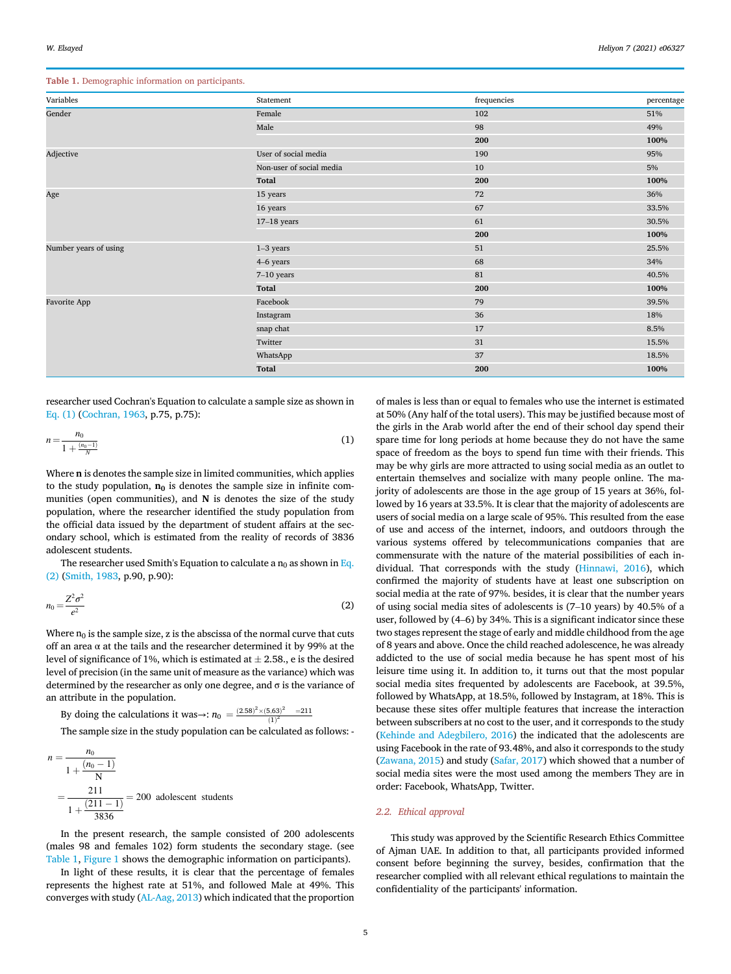Table 1. Demographic information on participants.

| Variables<br>frequencies<br>Statement<br>Gender<br>Female<br>102 | percentage<br>51% |
|------------------------------------------------------------------|-------------------|
|                                                                  |                   |
|                                                                  |                   |
| Male<br>98                                                       | 49%               |
| 200                                                              | 100%              |
| User of social media<br>Adjective<br>190                         | 95%               |
| Non-user of social media<br>10                                   | 5%                |
| Total<br>200                                                     | 100%              |
| Age<br>15 years<br>72                                            | 36%               |
| 67<br>16 years                                                   | 33.5%             |
| 61<br>$17-18$ years                                              | 30.5%             |
| 200                                                              | 100%              |
| Number years of using<br>$1-3$ years<br>51                       | 25.5%             |
| 68<br>4-6 years                                                  | 34%               |
| 81<br>$7-10$ years                                               | 40.5%             |
| Total<br>200                                                     | 100%              |
| Facebook<br>Favorite App<br>79                                   | 39.5%             |
| 36<br>Instagram                                                  | 18%               |
| snap chat<br>17                                                  | 8.5%              |
| Twitter<br>31                                                    | 15.5%             |
| 37<br>WhatsApp                                                   | 18.5%             |
| <b>Total</b><br>200                                              | 100%              |

researcher used Cochran's Equation to calculate a sample size as shown in Eq. (1) (Cochran, 1963, p.75, p.75):

$$
n = \frac{n_0}{1 + \frac{(n_0 - 1)}{N}}
$$
 (1)

Where n is denotes the sample size in limited communities, which applies to the study population,  $n_0$  is denotes the sample size in infinite communities (open communities), and  $N$  is denotes the size of the study population, where the researcher identified the study population from the official data issued by the department of student affairs at the secondary school, which is estimated from the reality of records of 3836 adolescent students.

The researcher used Smith's Equation to calculate a  $n_0$  as shown in Eq. (2) (Smith, 1983, p.90, p.90):

$$
n_0 = \frac{Z^2 \sigma^2}{e^2} \tag{2}
$$

Where  $n_0$  is the sample size, z is the abscissa of the normal curve that cuts off an area  $\alpha$  at the tails and the researcher determined it by 99% at the level of significance of 1%, which is estimated at  $\pm$  2.58, e is the desired level of precision (in the same unit of measure as the variance) which was determined by the researcher as only one degree, and  $\sigma$  is the variance of an attribute in the population.

By doing the calculations it was→:  $n_0 = \frac{(2.58)^2 \times (5.63)^2}{(1)^2}$  = 211

The sample size in the study population can be calculated as follows: -

$$
n = \frac{n_0}{1 + \frac{(n_0 - 1)}{N}}
$$
  
=  $\frac{211}{1 + \frac{(211 - 1)}{3836}}$  = 200 adolescent students

In the present research, the sample consisted of 200 adolescents (males 98 and females 102) form students the secondary stage. (see Table 1, Figure 1 shows the demographic information on participants).

In light of these results, it is clear that the percentage of females represents the highest rate at 51%, and followed Male at 49%. This converges with study (AL-Aag, 2013) which indicated that the proportion

of males is less than or equal to females who use the internet is estimated at 50% (Any half of the total users). This may be justified because most of the girls in the Arab world after the end of their school day spend their spare time for long periods at home because they do not have the same space of freedom as the boys to spend fun time with their friends. This may be why girls are more attracted to using social media as an outlet to entertain themselves and socialize with many people online. The majority of adolescents are those in the age group of 15 years at 36%, followed by 16 years at 33.5%. It is clear that the majority of adolescents are users of social media on a large scale of 95%. This resulted from the ease of use and access of the internet, indoors, and outdoors through the various systems offered by telecommunications companies that are commensurate with the nature of the material possibilities of each individual. That corresponds with the study (Hinnawi, 2016), which confirmed the majority of students have at least one subscription on social media at the rate of 97%. besides, it is clear that the number years of using social media sites of adolescents is (7–10 years) by 40.5% of a user, followed by (4–6) by 34%. This is a significant indicator since these two stages represent the stage of early and middle childhood from the age of 8 years and above. Once the child reached adolescence, he was already addicted to the use of social media because he has spent most of his leisure time using it. In addition to, it turns out that the most popular social media sites frequented by adolescents are Facebook, at 39.5%, followed by WhatsApp, at 18.5%, followed by Instagram, at 18%. This is because these sites offer multiple features that increase the interaction between subscribers at no cost to the user, and it corresponds to the study (Kehinde and Adegbilero, 2016) the indicated that the adolescents are using Facebook in the rate of 93.48%, and also it corresponds to the study (Zawana, 2015) and study (Safar, 2017) which showed that a number of social media sites were the most used among the members They are in order: Facebook, WhatsApp, Twitter.

#### *2.2. Ethical approval*

This study was approved by the Scientific Research Ethics Committee of Ajman UAE. In addition to that, all participants provided informed consent before beginning the survey, besides, confirmation that the researcher complied with all relevant ethical regulations to maintain the confidentiality of the participants' information.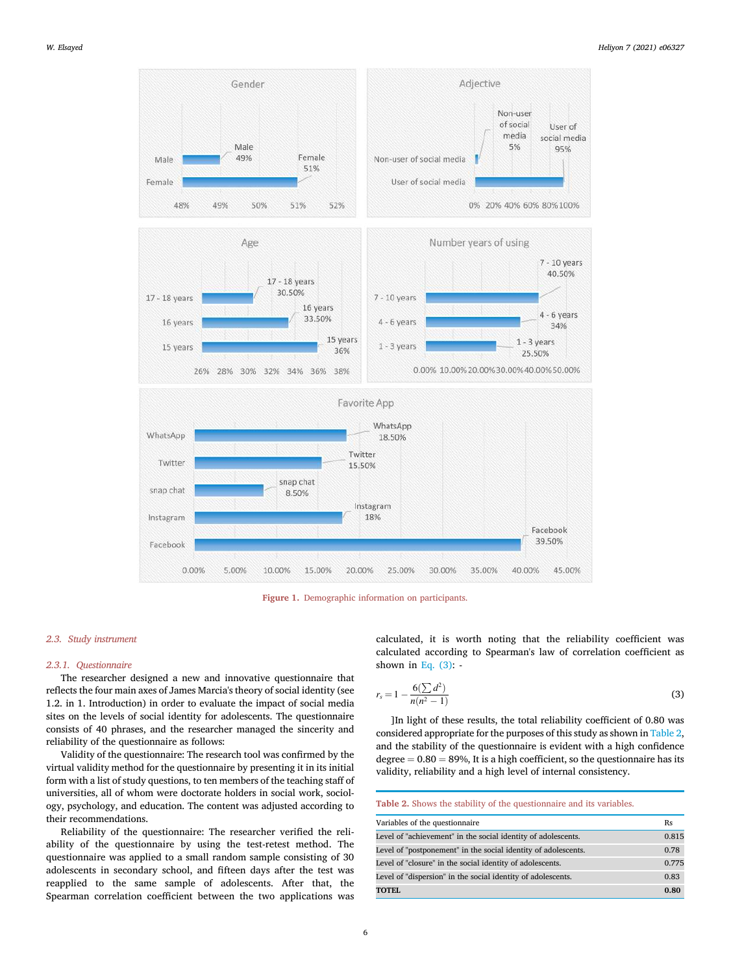



#### *2.3. Study instrument*

# *2.3.1. Questionnaire*

The researcher designed a new and innovative questionnaire that reflects the four main axes of James Marcia's theory of social identity (see 1.2. in 1. Introduction) in order to evaluate the impact of social media sites on the levels of social identity for adolescents. The questionnaire consists of 40 phrases, and the researcher managed the sincerity and reliability of the questionnaire as follows:

Validity of the questionnaire: The research tool was confirmed by the virtual validity method for the questionnaire by presenting it in its initial form with a list of study questions, to ten members of the teaching staff of universities, all of whom were doctorate holders in social work, sociology, psychology, and education. The content was adjusted according to their recommendations.

Reliability of the questionnaire: The researcher verified the reliability of the questionnaire by using the test-retest method. The questionnaire was applied to a small random sample consisting of 30 adolescents in secondary school, and fifteen days after the test was reapplied to the same sample of adolescents. After that, the Spearman correlation coefficient between the two applications was

calculated, it is worth noting that the reliability coefficient was calculated according to Spearman's law of correlation coefficient as shown in Eq.  $(3)$ : -

$$
r_s = 1 - \frac{6(\sum d^2)}{n(n^2 - 1)}\tag{3}
$$

]In light of these results, the total reliability coefficient of 0.80 was considered appropriate for the purposes of this study as shown in Table 2, and the stability of the questionnaire is evident with a high confidence degree  $= 0.80 = 89$ %, It is a high coefficient, so the questionnaire has its validity, reliability and a high level of internal consistency.

Table 2. Shows the stability of the questionnaire and its variables.

| Variables of the questionnaire                                 | Rs    |
|----------------------------------------------------------------|-------|
| Level of "achievement" in the social identity of adolescents.  | 0.815 |
| Level of "postponement" in the social identity of adolescents. | 0.78  |
| Level of "closure" in the social identity of adolescents.      | 0.775 |
| Level of "dispersion" in the social identity of adolescents.   | 0.83  |
| <b>TOTEL</b>                                                   | 0.80  |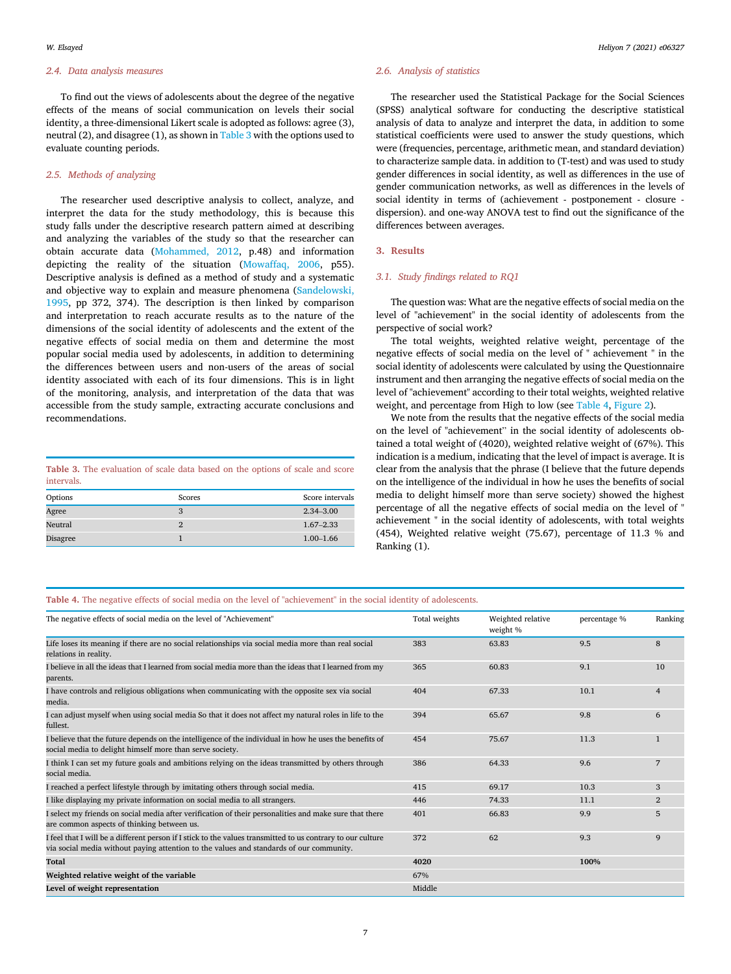#### *2.4. Data analysis measures*

To find out the views of adolescents about the degree of the negative effects of the means of social communication on levels their social identity, a three-dimensional Likert scale is adopted as follows: agree (3), neutral (2), and disagree (1), as shown in Table 3 with the options used to evaluate counting periods.

# *2.5. Methods of analyzing*

The researcher used descriptive analysis to collect, analyze, and interpret the data for the study methodology, this is because this study falls under the descriptive research pattern aimed at describing and analyzing the variables of the study so that the researcher can obtain accurate data (Mohammed, 2012, p.48) and information depicting the reality of the situation (Mowaffaq, 2006, p55). Descriptive analysis is defined as a method of study and a systematic and objective way to explain and measure phenomena (Sandelowski, 1995, pp 372, 374). The description is then linked by comparison and interpretation to reach accurate results as to the nature of the dimensions of the social identity of adolescents and the extent of the negative effects of social media on them and determine the most popular social media used by adolescents, in addition to determining the differences between users and non-users of the areas of social identity associated with each of its four dimensions. This is in light of the monitoring, analysis, and interpretation of the data that was accessible from the study sample, extracting accurate conclusions and recommendations.

# Table 3. The evaluation of scale data based on the options of scale and score intervals.

| Options  | Scores | Score intervals |
|----------|--------|-----------------|
| Agree    |        | $2.34 - 3.00$   |
| Neutral  | Ω      | $1.67 - 2.33$   |
| Disagree |        | $1.00 - 1.66$   |

# *2.6. Analysis of statistics*

The researcher used the Statistical Package for the Social Sciences (SPSS) analytical software for conducting the descriptive statistical analysis of data to analyze and interpret the data, in addition to some statistical coefficients were used to answer the study questions, which were (frequencies, percentage, arithmetic mean, and standard deviation) to characterize sample data. in addition to (T-test) and was used to study gender differences in social identity, as well as differences in the use of gender communication networks, as well as differences in the levels of social identity in terms of (achievement - postponement - closure dispersion). and one-way ANOVA test to find out the significance of the differences between averages.

#### 3. Results

#### *3.1. Study* fi*ndings related to RQ1*

The question was: What are the negative effects of social media on the level of "achievement" in the social identity of adolescents from the perspective of social work?

The total weights, weighted relative weight, percentage of the negative effects of social media on the level of " achievement " in the social identity of adolescents were calculated by using the Questionnaire instrument and then arranging the negative effects of social media on the level of "achievement" according to their total weights, weighted relative weight, and percentage from High to low (see Table 4, Figure 2).

We note from the results that the negative effects of the social media on the level of "achievement" in the social identity of adolescents obtained a total weight of (4020), weighted relative weight of (67%). This indication is a medium, indicating that the level of impact is average. It is clear from the analysis that the phrase (I believe that the future depends on the intelligence of the individual in how he uses the benefits of social media to delight himself more than serve society) showed the highest percentage of all the negative effects of social media on the level of " achievement " in the social identity of adolescents, with total weights (454), Weighted relative weight (75.67), percentage of 11.3 % and Ranking (1).

#### Table 4. The negative effects of social media on the level of "achievement" in the social identity of adolescents.

| The negative effects of social media on the level of "Achievement"                                                                                                                                     | Total weights | Weighted relative<br>weight % | percentage % | Ranking        |
|--------------------------------------------------------------------------------------------------------------------------------------------------------------------------------------------------------|---------------|-------------------------------|--------------|----------------|
| Life loses its meaning if there are no social relationships via social media more than real social<br>relations in reality.                                                                            | 383           | 63.83                         | 9.5          | 8              |
| I believe in all the ideas that I learned from social media more than the ideas that I learned from my<br>parents.                                                                                     | 365           | 60.83                         | 9.1          | 10             |
| I have controls and religious obligations when communicating with the opposite sex via social<br>media.                                                                                                | 404           | 67.33                         | 10.1         | $\overline{4}$ |
| I can adjust myself when using social media So that it does not affect my natural roles in life to the<br>fullest.                                                                                     | 394           | 65.67                         | 9.8          | 6              |
| I believe that the future depends on the intelligence of the individual in how he uses the benefits of<br>social media to delight himself more than serve society.                                     | 454           | 75.67                         | 11.3         | $\mathbf{1}$   |
| I think I can set my future goals and ambitions relying on the ideas transmitted by others through<br>social media.                                                                                    | 386           | 64.33                         | 9.6          | 7              |
| I reached a perfect lifestyle through by imitating others through social media.                                                                                                                        | 415           | 69.17                         | 10.3         | 3              |
| I like displaying my private information on social media to all strangers.                                                                                                                             | 446           | 74.33                         | 11.1         | $\overline{2}$ |
| I select my friends on social media after verification of their personalities and make sure that there<br>are common aspects of thinking between us.                                                   | 401           | 66.83                         | 9.9          | 5              |
| I feel that I will be a different person if I stick to the values transmitted to us contrary to our culture<br>via social media without paying attention to the values and standards of our community. | 372           | 62                            | 9.3          | $\mathbf{Q}$   |
| Total                                                                                                                                                                                                  | 4020          |                               | 100%         |                |
| Weighted relative weight of the variable                                                                                                                                                               | 67%           |                               |              |                |
| Level of weight representation                                                                                                                                                                         | Middle        |                               |              |                |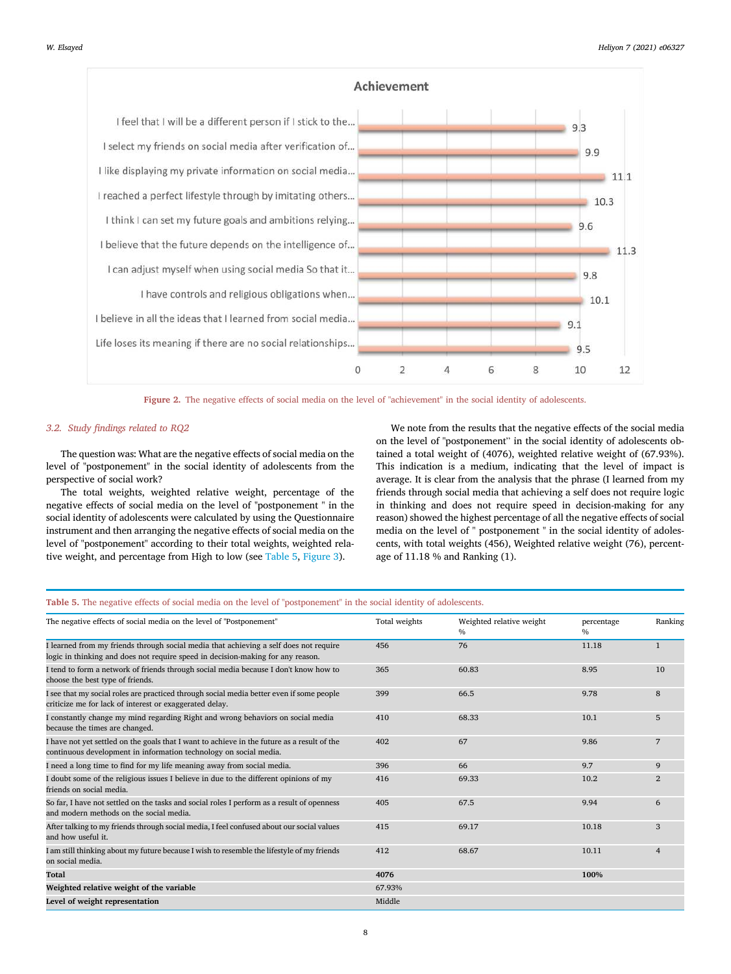

Figure 2. The negative effects of social media on the level of "achievement" in the social identity of adolescents.

#### *3.2. Study* fi*ndings related to RQ2*

The question was: What are the negative effects of social media on the level of "postponement" in the social identity of adolescents from the perspective of social work?

The total weights, weighted relative weight, percentage of the negative effects of social media on the level of "postponement " in the social identity of adolescents were calculated by using the Questionnaire instrument and then arranging the negative effects of social media on the level of "postponement" according to their total weights, weighted relative weight, and percentage from High to low (see Table 5, Figure 3).

We note from the results that the negative effects of the social media on the level of "postponement" in the social identity of adolescents obtained a total weight of (4076), weighted relative weight of (67.93%). This indication is a medium, indicating that the level of impact is average. It is clear from the analysis that the phrase (I learned from my friends through social media that achieving a self does not require logic in thinking and does not require speed in decision-making for any reason) showed the highest percentage of all the negative effects of social media on the level of " postponement " in the social identity of adolescents, with total weights (456), Weighted relative weight (76), percentage of 11.18 % and Ranking (1).

#### Table 5. The negative effects of social media on the level of "postponement" in the social identity of adolescents.

| The negative effects of social media on the level of "Postponement"                                                                                                      | Total weights | Weighted relative weight<br>$\%$ | percentage<br>$\%$ | Ranking        |
|--------------------------------------------------------------------------------------------------------------------------------------------------------------------------|---------------|----------------------------------|--------------------|----------------|
| I learned from my friends through social media that achieving a self does not require<br>logic in thinking and does not require speed in decision-making for any reason. | 456           | 76                               | 11.18              | $\mathbf{1}$   |
| I tend to form a network of friends through social media because I don't know how to<br>choose the best type of friends.                                                 | 365           | 60.83                            | 8.95               | 10             |
| I see that my social roles are practiced through social media better even if some people<br>criticize me for lack of interest or exaggerated delay.                      | 399           | 66.5                             | 9.78               | 8              |
| I constantly change my mind regarding Right and wrong behaviors on social media<br>because the times are changed.                                                        | 410           | 68.33                            | 10.1               | 5              |
| I have not yet settled on the goals that I want to achieve in the future as a result of the<br>continuous development in information technology on social media.         | 402           | 67                               | 9.86               | 7              |
| I need a long time to find for my life meaning away from social media.                                                                                                   | 396           | 66                               | 9.7                | 9              |
| I doubt some of the religious issues I believe in due to the different opinions of my<br>friends on social media.                                                        | 416           | 69.33                            | 10.2               | $\overline{2}$ |
| So far, I have not settled on the tasks and social roles I perform as a result of openness<br>and modern methods on the social media.                                    | 405           | 67.5                             | 9.94               | 6              |
| After talking to my friends through social media, I feel confused about our social values<br>and how useful it.                                                          | 415           | 69.17                            | 10.18              | 3              |
| I am still thinking about my future because I wish to resemble the lifestyle of my friends<br>on social media.                                                           | 412           | 68.67                            | 10.11              | $\overline{4}$ |
| Total                                                                                                                                                                    | 4076          |                                  | 100%               |                |
| Weighted relative weight of the variable                                                                                                                                 | 67.93%        |                                  |                    |                |
| Level of weight representation                                                                                                                                           | Middle        |                                  |                    |                |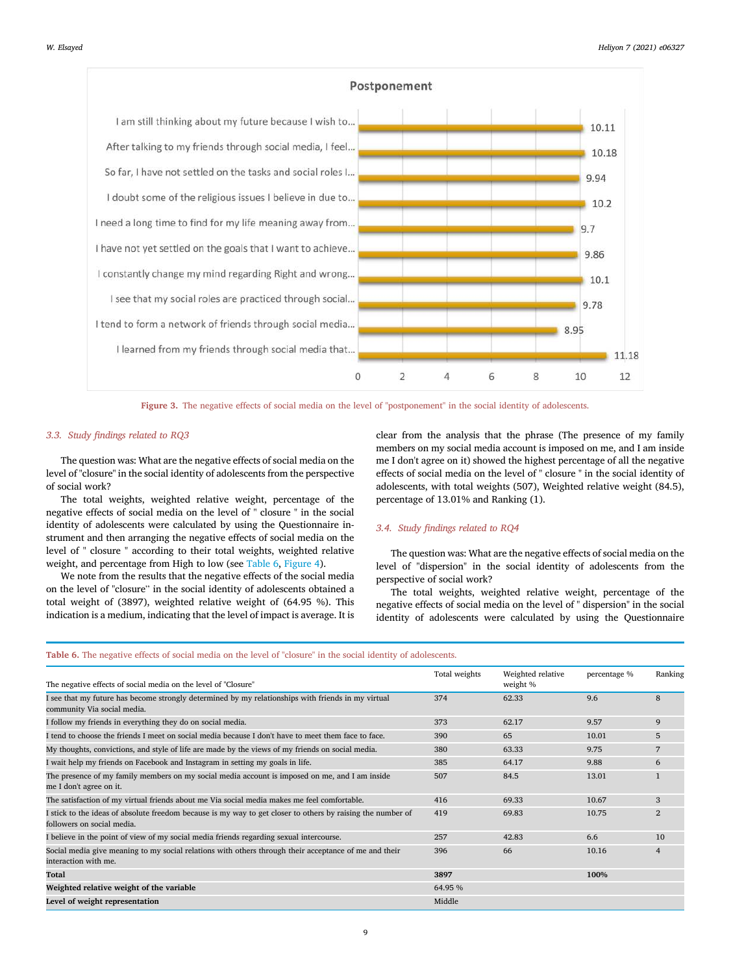

Figure 3. The negative effects of social media on the level of "postponement" in the social identity of adolescents.

#### *3.3. Study* fi*ndings related to RQ3*

The question was: What are the negative effects of social media on the level of "closure" in the social identity of adolescents from the perspective of social work?

The total weights, weighted relative weight, percentage of the negative effects of social media on the level of " closure " in the social identity of adolescents were calculated by using the Questionnaire instrument and then arranging the negative effects of social media on the level of " closure " according to their total weights, weighted relative weight, and percentage from High to low (see Table 6, Figure 4).

We note from the results that the negative effects of the social media on the level of "closure" in the social identity of adolescents obtained a total weight of (3897), weighted relative weight of (64.95 %). This indication is a medium, indicating that the level of impact is average. It is

clear from the analysis that the phrase (The presence of my family members on my social media account is imposed on me, and I am inside me I don't agree on it) showed the highest percentage of all the negative effects of social media on the level of " closure " in the social identity of adolescents, with total weights (507), Weighted relative weight (84.5), percentage of 13.01% and Ranking (1).

#### *3.4. Study* fi*ndings related to RQ4*

The question was: What are the negative effects of social media on the level of "dispersion" in the social identity of adolescents from the perspective of social work?

The total weights, weighted relative weight, percentage of the negative effects of social media on the level of " dispersion" in the social identity of adolescents were calculated by using the Questionnaire

#### Table 6. The negative effects of social media on the level of "closure" in the social identity of adolescents.

| The negative effects of social media on the level of "Closure"                                                                            | Total weights | Weighted relative<br>weight % | percentage % | Ranking         |
|-------------------------------------------------------------------------------------------------------------------------------------------|---------------|-------------------------------|--------------|-----------------|
| I see that my future has become strongly determined by my relationships with friends in my virtual<br>community Via social media.         | 374           | 62.33                         | 9.6          | 8               |
| I follow my friends in everything they do on social media.                                                                                | 373           | 62.17                         | 9.57         | 9               |
| I tend to choose the friends I meet on social media because I don't have to meet them face to face.                                       | 390           | 65                            | 10.01        | 5               |
| My thoughts, convictions, and style of life are made by the views of my friends on social media.                                          | 380           | 63.33                         | 9.75         | $7\overline{ }$ |
| I wait help my friends on Facebook and Instagram in setting my goals in life.                                                             | 385           | 64.17                         | 9.88         | 6               |
| The presence of my family members on my social media account is imposed on me, and I am inside<br>me I don't agree on it.                 | 507           | 84.5                          | 13.01        |                 |
| The satisfaction of my virtual friends about me Via social media makes me feel comfortable.                                               | 416           | 69.33                         | 10.67        | 3               |
| I stick to the ideas of absolute freedom because is my way to get closer to others by raising the number of<br>followers on social media. | 419           | 69.83                         | 10.75        | $\overline{2}$  |
| I believe in the point of view of my social media friends regarding sexual intercourse.                                                   | 257           | 42.83                         | 6.6          | 10              |
| Social media give meaning to my social relations with others through their acceptance of me and their<br>interaction with me.             | 396           | 66                            | 10.16        | $\overline{4}$  |
| Total                                                                                                                                     | 3897          |                               | 100%         |                 |
| Weighted relative weight of the variable                                                                                                  | 64.95 %       |                               |              |                 |
| Level of weight representation                                                                                                            | Middle        |                               |              |                 |
|                                                                                                                                           |               |                               |              |                 |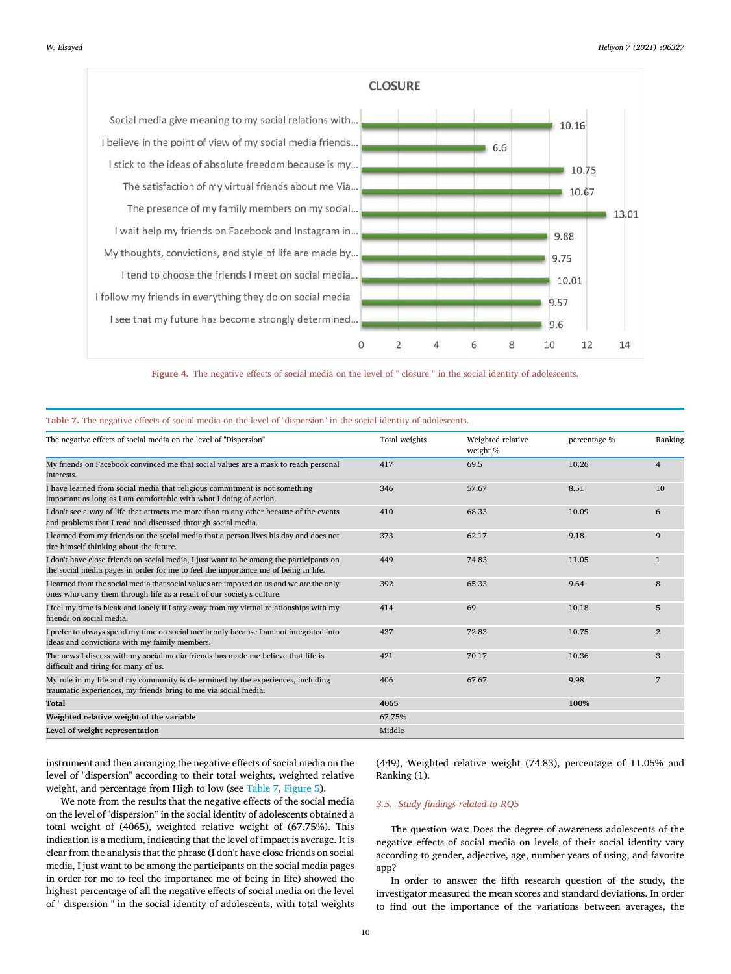

Figure 4. The negative effects of social media on the level of " closure " in the social identity of adolescents.

| The negative effects of social media on the level of "Dispersion"                                                                                                             | Total weights | Weighted relative<br>weight % | percentage % | Ranking        |
|-------------------------------------------------------------------------------------------------------------------------------------------------------------------------------|---------------|-------------------------------|--------------|----------------|
| My friends on Facebook convinced me that social values are a mask to reach personal<br>interests.                                                                             | 417           | 69.5                          | 10.26        | $\overline{4}$ |
| I have learned from social media that religious commitment is not something<br>important as long as I am comfortable with what I doing of action.                             | 346           | 57.67                         | 8.51         | 10             |
| I don't see a way of life that attracts me more than to any other because of the events<br>and problems that I read and discussed through social media.                       | 410           | 68.33                         | 10.09        | 6              |
| I learned from my friends on the social media that a person lives his day and does not<br>tire himself thinking about the future.                                             | 373           | 62.17                         | 9.18         | 9              |
| I don't have close friends on social media, I just want to be among the participants on<br>the social media pages in order for me to feel the importance me of being in life. | 449           | 74.83                         | 11.05        | $\mathbf{1}$   |
| I learned from the social media that social values are imposed on us and we are the only<br>ones who carry them through life as a result of our society's culture.            | 392           | 65.33                         | 9.64         | 8              |
| I feel my time is bleak and lonely if I stay away from my virtual relationships with my<br>friends on social media.                                                           | 414           | 69                            | 10.18        | 5              |
| I prefer to always spend my time on social media only because I am not integrated into<br>ideas and convictions with my family members.                                       | 437           | 72.83                         | 10.75        | $\overline{2}$ |
| The news I discuss with my social media friends has made me believe that life is<br>difficult and tiring for many of us.                                                      | 421           | 70.17                         | 10.36        | 3              |
| My role in my life and my community is determined by the experiences, including<br>traumatic experiences, my friends bring to me via social media.                            | 406           | 67.67                         | 9.98         | 7              |
| <b>Total</b>                                                                                                                                                                  | 4065          |                               | 100%         |                |
| Weighted relative weight of the variable                                                                                                                                      | 67.75%        |                               |              |                |
| Level of weight representation                                                                                                                                                | Middle        |                               |              |                |

Table 7. The negative effects of social media on the level of "dispersion" in the social identity of adolescents.

instrument and then arranging the negative effects of social media on the level of "dispersion" according to their total weights, weighted relative weight, and percentage from High to low (see Table 7, Figure 5).

We note from the results that the negative effects of the social media on the level of "dispersion" in the social identity of adolescents obtained a total weight of (4065), weighted relative weight of (67.75%). This indication is a medium, indicating that the level of impact is average. It is clear from the analysis that the phrase (I don't have close friends on social media, I just want to be among the participants on the social media pages in order for me to feel the importance me of being in life) showed the highest percentage of all the negative effects of social media on the level of " dispersion " in the social identity of adolescents, with total weights (449), Weighted relative weight (74.83), percentage of 11.05% and Ranking (1).

#### *3.5. Study* fi*ndings related to RQ5*

The question was: Does the degree of awareness adolescents of the negative effects of social media on levels of their social identity vary according to gender, adjective, age, number years of using, and favorite app?

In order to answer the fifth research question of the study, the investigator measured the mean scores and standard deviations. In order to find out the importance of the variations between averages, the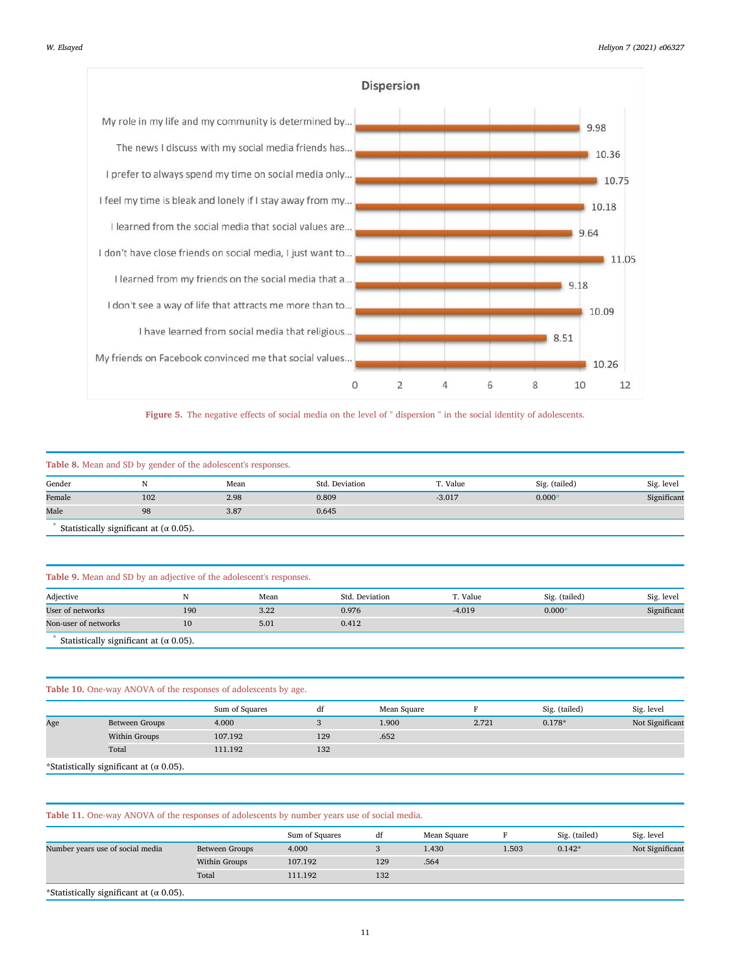

Figure 5. The negative effects of social media on the level of " dispersion " in the social identity of adolescents.

| Table 8. Mean and SD by gender of the adolescent's responses. |                                                     |      |                |          |               |             |  |
|---------------------------------------------------------------|-----------------------------------------------------|------|----------------|----------|---------------|-------------|--|
| Gender                                                        |                                                     | Mean | Std. Deviation | T. Value | Sig. (tailed) | Sig. level  |  |
| Female                                                        | 102                                                 | 2.98 | 0.809          | $-3.017$ | $0.000*$      | Significant |  |
| Male                                                          | 98                                                  | 3.87 | 0.645          |          |               |             |  |
|                                                               | Statistically cignificant at $(a \cap \mathsf{DE})$ |      |                |          |               |             |  |

Statistically significant at ( $\alpha$  0.05).

#### Table 9. Mean and SD by an adjective of the adolescent's responses.

| Adjective                                          |        | Mean | Std. Deviation | T. Value | Sig. (tailed) | Sig. level  |  |
|----------------------------------------------------|--------|------|----------------|----------|---------------|-------------|--|
| User of networks                                   | 190    | 3.22 | 0.976          | $-4.019$ | $0.000*$      | Significant |  |
| Non-user of networks                               | $10\,$ | 5.01 | 0.412          |          |               |             |  |
| Statistically cignificant at $(a \cap \mathbb{R})$ |        |      |                |          |               |             |  |

Statistically significant at ( $\alpha$  0.05).

# Table 10. One-way ANOVA of the responses of adolescents by age.

|     |                                                                                                                                                                                                                                                                                                                   | Sum of Squares | df  | Mean Square |       | Sig. (tailed) | Sig. level      |
|-----|-------------------------------------------------------------------------------------------------------------------------------------------------------------------------------------------------------------------------------------------------------------------------------------------------------------------|----------------|-----|-------------|-------|---------------|-----------------|
|     | Between Groups                                                                                                                                                                                                                                                                                                    | 4.000          |     | 1.900       | 2.721 | $0.178*$      | Not Significant |
| Age | Within Groups                                                                                                                                                                                                                                                                                                     | 107.192        | 129 | .652        |       |               |                 |
|     | Total                                                                                                                                                                                                                                                                                                             | 111.192        | 132 |             |       |               |                 |
|     | $\mathcal{L}$ and $\mathcal{L}$ and $\mathcal{L}$ and $\mathcal{L}$ and $\mathcal{L}$ and $\mathcal{L}$ and $\mathcal{L}$ and $\mathcal{L}$ and $\mathcal{L}$ and $\mathcal{L}$ and $\mathcal{L}$ and $\mathcal{L}$ and $\mathcal{L}$ and $\mathcal{L}$ and $\mathcal{L}$ and $\mathcal{L}$ and $\mathcal{L}$ and |                |     |             |       |               |                 |

\*Statistically significant at ( $\alpha$  0.05).

# Table 11. One-way ANOVA of the responses of adolescents by number years use of social media.

|                                  |                | Sum of Squares | df  | Mean Square |       | Sig. (tailed) | Sig. level      |
|----------------------------------|----------------|----------------|-----|-------------|-------|---------------|-----------------|
| Number years use of social media | Between Groups | 4.000          |     | 1.430       | 1.503 | $0.142*$      | Not Significant |
|                                  | Within Groups  | 107.192        | 129 | .564        |       |               |                 |
|                                  | Total          | 111.192        | 132 |             |       |               |                 |
|                                  |                |                |     |             |       |               |                 |

\*Statistically significant at (α 0.05).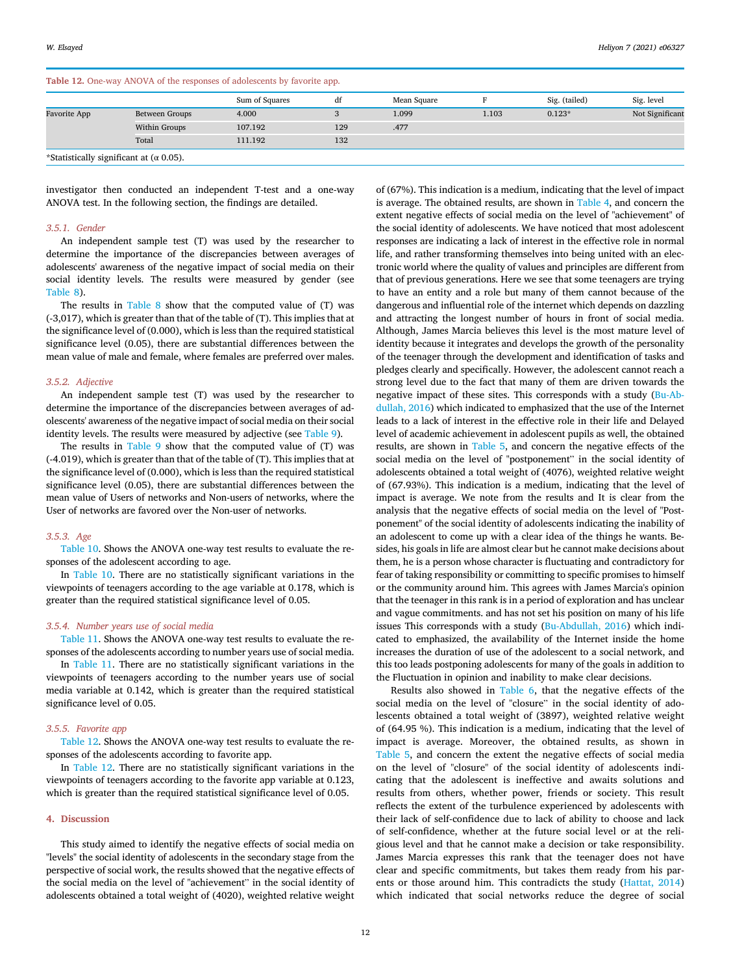### Table 12. One-way ANOVA of the responses of adolescents by favorite app.

| W. Elsaved | Heliyon 7 (2021) e06327 |  |  |
|------------|-------------------------|--|--|
|------------|-------------------------|--|--|

| There I'm one may rait in the responses or adorescents by raited appli- |                                                 |                |     |             |       |               |                 |  |  |
|-------------------------------------------------------------------------|-------------------------------------------------|----------------|-----|-------------|-------|---------------|-----------------|--|--|
|                                                                         |                                                 | Sum of Squares | df  | Mean Square |       | Sig. (tailed) | Sig. level      |  |  |
| <b>Favorite App</b>                                                     | Between Groups                                  | 4.000          |     | 1.099       | 1.103 | $0.123*$      | Not Significant |  |  |
|                                                                         | Within Groups                                   | 107.192        | 129 | .477        |       |               |                 |  |  |
|                                                                         | Total                                           | 111.192        | 132 |             |       |               |                 |  |  |
|                                                                         | *Statistically significant at ( $\alpha$ 0.05). |                |     |             |       |               |                 |  |  |

investigator then conducted an independent T-test and a one-way ANOVA test. In the following section, the findings are detailed.

#### *3.5.1. Gender*

An independent sample test (T) was used by the researcher to determine the importance of the discrepancies between averages of adolescents' awareness of the negative impact of social media on their social identity levels. The results were measured by gender (see Table 8).

The results in Table 8 show that the computed value of (T) was (-3,017), which is greater than that of the table of (T). This implies that at the significance level of (0.000), which is less than the required statistical significance level (0.05), there are substantial differences between the mean value of male and female, where females are preferred over males.

#### *3.5.2. Adjective*

An independent sample test (T) was used by the researcher to determine the importance of the discrepancies between averages of adolescents' awareness of the negative impact of social media on their social identity levels. The results were measured by adjective (see Table 9).

The results in Table 9 show that the computed value of (T) was (-4.019), which is greater than that of the table of (T). This implies that at the significance level of (0.000), which is less than the required statistical significance level (0.05), there are substantial differences between the mean value of Users of networks and Non-users of networks, where the User of networks are favored over the Non-user of networks.

#### *3.5.3. Age*

Table 10. Shows the ANOVA one-way test results to evaluate the responses of the adolescent according to age.

In Table 10. There are no statistically significant variations in the viewpoints of teenagers according to the age variable at 0.178, which is greater than the required statistical significance level of 0.05.

#### *3.5.4. Number years use of social media*

Table 11. Shows the ANOVA one-way test results to evaluate the responses of the adolescents according to number years use of social media.

In Table 11. There are no statistically significant variations in the viewpoints of teenagers according to the number years use of social media variable at 0.142, which is greater than the required statistical significance level of 0.05.

#### *3.5.5. Favorite app*

Table 12. Shows the ANOVA one-way test results to evaluate the responses of the adolescents according to favorite app.

In Table 12. There are no statistically significant variations in the viewpoints of teenagers according to the favorite app variable at 0.123, which is greater than the required statistical significance level of 0.05.

#### 4. Discussion

This study aimed to identify the negative effects of social media on "levels" the social identity of adolescents in the secondary stage from the perspective of social work, the results showed that the negative effects of the social media on the level of "achievement" in the social identity of adolescents obtained a total weight of (4020), weighted relative weight

of (67%). This indication is a medium, indicating that the level of impact is average. The obtained results, are shown in Table 4, and concern the extent negative effects of social media on the level of "achievement" of the social identity of adolescents. We have noticed that most adolescent responses are indicating a lack of interest in the effective role in normal life, and rather transforming themselves into being united with an electronic world where the quality of values and principles are different from that of previous generations. Here we see that some teenagers are trying to have an entity and a role but many of them cannot because of the dangerous and influential role of the internet which depends on dazzling and attracting the longest number of hours in front of social media. Although, James Marcia believes this level is the most mature level of identity because it integrates and develops the growth of the personality of the teenager through the development and identification of tasks and pledges clearly and specifically. However, the adolescent cannot reach a strong level due to the fact that many of them are driven towards the negative impact of these sites. This corresponds with a study (Bu-Abdullah, 2016) which indicated to emphasized that the use of the Internet leads to a lack of interest in the effective role in their life and Delayed level of academic achievement in adolescent pupils as well, the obtained results, are shown in Table 5, and concern the negative effects of the social media on the level of "postponement" in the social identity of adolescents obtained a total weight of (4076), weighted relative weight of (67.93%). This indication is a medium, indicating that the level of impact is average. We note from the results and It is clear from the analysis that the negative effects of social media on the level of "Postponement" of the social identity of adolescents indicating the inability of an adolescent to come up with a clear idea of the things he wants. Besides, his goals in life are almost clear but he cannot make decisions about them, he is a person whose character is fluctuating and contradictory for fear of taking responsibility or committing to specific promises to himself or the community around him. This agrees with James Marcia's opinion that the teenager in this rank is in a period of exploration and has unclear and vague commitments. and has not set his position on many of his life issues This corresponds with a study (Bu-Abdullah, 2016) which indicated to emphasized, the availability of the Internet inside the home increases the duration of use of the adolescent to a social network, and this too leads postponing adolescents for many of the goals in addition to the Fluctuation in opinion and inability to make clear decisions.

Results also showed in Table 6, that the negative effects of the social media on the level of "closure" in the social identity of adolescents obtained a total weight of (3897), weighted relative weight of (64.95 %). This indication is a medium, indicating that the level of impact is average. Moreover, the obtained results, as shown in Table 5, and concern the extent the negative effects of social media on the level of "closure" of the social identity of adolescents indicating that the adolescent is ineffective and awaits solutions and results from others, whether power, friends or society. This result reflects the extent of the turbulence experienced by adolescents with their lack of self-confidence due to lack of ability to choose and lack of self-confidence, whether at the future social level or at the religious level and that he cannot make a decision or take responsibility. James Marcia expresses this rank that the teenager does not have clear and specific commitments, but takes them ready from his parents or those around him. This contradicts the study (Hattat, 2014) which indicated that social networks reduce the degree of social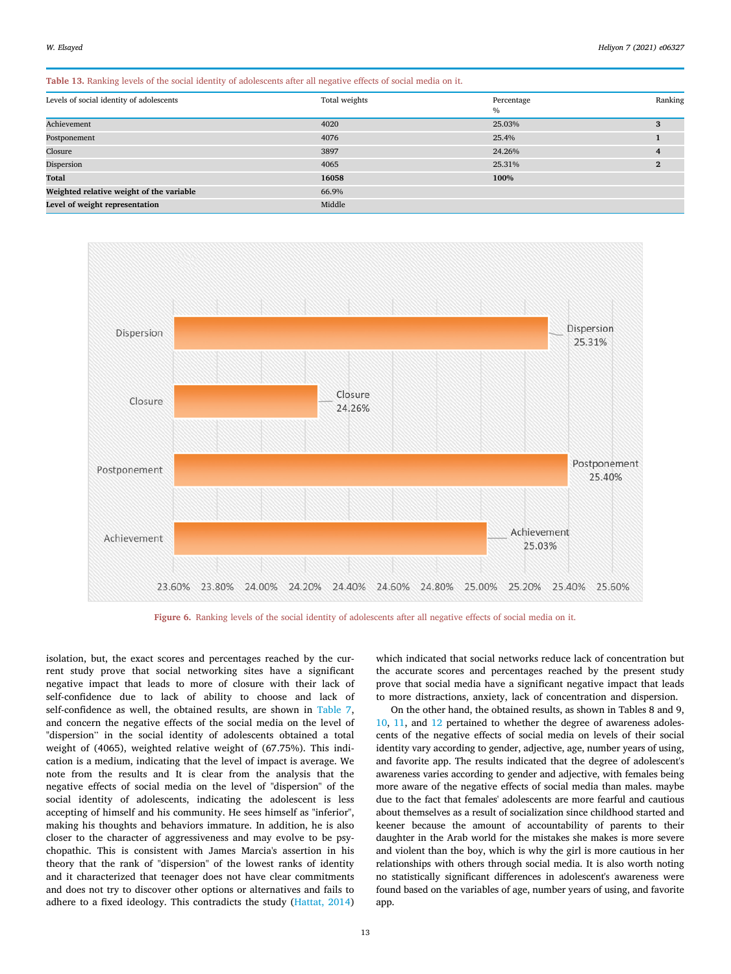Table 13. Ranking levels of the social identity of adolescents after all negative effects of social media on it.

| Levels of social identity of adolescents | Total weights | Percentage<br>$\%$ | Ranking      |
|------------------------------------------|---------------|--------------------|--------------|
| Achievement                              | 4020          | 25.03%             | 3            |
| Postponement                             | 4076          | 25.4%              |              |
| Closure                                  | 3897          | 24.26%             | 4            |
| Dispersion                               | 4065          | 25.31%             | $\mathbf{2}$ |
| Total                                    | 16058         | 100%               |              |
| Weighted relative weight of the variable | 66.9%         |                    |              |
| Level of weight representation           | Middle        |                    |              |



Figure 6. Ranking levels of the social identity of adolescents after all negative effects of social media on it.

isolation, but, the exact scores and percentages reached by the current study prove that social networking sites have a significant negative impact that leads to more of closure with their lack of self-confidence due to lack of ability to choose and lack of self-confidence as well, the obtained results, are shown in Table 7, and concern the negative effects of the social media on the level of "dispersion" in the social identity of adolescents obtained a total weight of (4065), weighted relative weight of (67.75%). This indication is a medium, indicating that the level of impact is average. We note from the results and It is clear from the analysis that the negative effects of social media on the level of "dispersion" of the social identity of adolescents, indicating the adolescent is less accepting of himself and his community. He sees himself as "inferior", making his thoughts and behaviors immature. In addition, he is also closer to the character of aggressiveness and may evolve to be psychopathic. This is consistent with James Marcia's assertion in his theory that the rank of "dispersion" of the lowest ranks of identity and it characterized that teenager does not have clear commitments and does not try to discover other options or alternatives and fails to adhere to a fixed ideology. This contradicts the study (Hattat, 2014)

which indicated that social networks reduce lack of concentration but the accurate scores and percentages reached by the present study prove that social media have a significant negative impact that leads to more distractions, anxiety, lack of concentration and dispersion.

On the other hand, the obtained results, as shown in Tables 8 and 9, 10, 11, and 12 pertained to whether the degree of awareness adolescents of the negative effects of social media on levels of their social identity vary according to gender, adjective, age, number years of using, and favorite app. The results indicated that the degree of adolescent's awareness varies according to gender and adjective, with females being more aware of the negative effects of social media than males. maybe due to the fact that females' adolescents are more fearful and cautious about themselves as a result of socialization since childhood started and keener because the amount of accountability of parents to their daughter in the Arab world for the mistakes she makes is more severe and violent than the boy, which is why the girl is more cautious in her relationships with others through social media. It is also worth noting no statistically significant differences in adolescent's awareness were found based on the variables of age, number years of using, and favorite app.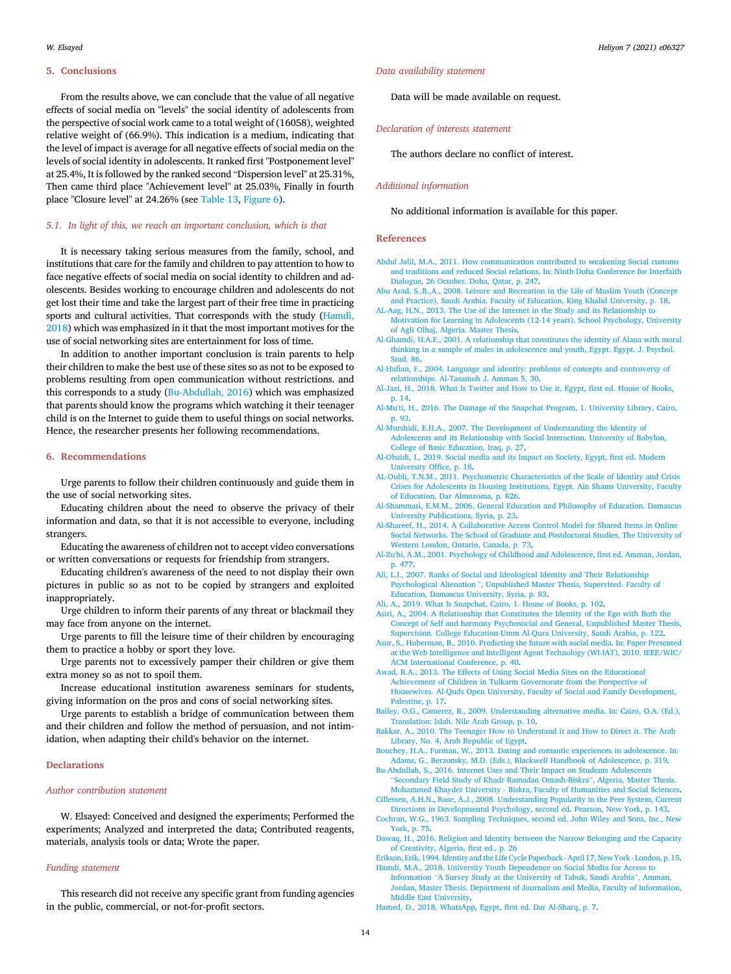#### 5. Conclusions

From the results above, we can conclude that the value of all negative effects of social media on "levels" the social identity of adolescents from the perspective of social work came to a total weight of (16058), weighted relative weight of (66.9%). This indication is a medium, indicating that the level of impact is average for all negative effects of social media on the levels of social identity in adolescents. It ranked first "Postponement level" at 25.4%, It is followed by the ranked second "Dispersion level" at 25.31%,

*5.1. In light of this, we reach an important conclusion, which is that*

place "Closure level" at 24.26% (see Table 13, Figure 6).

It is necessary taking serious measures from the family, school, and institutions that care for the family and children to pay attention to how to face negative effects of social media on social identity to children and adolescents. Besides working to encourage children and adolescents do not get lost their time and take the largest part of their free time in practicing sports and cultural activities. That corresponds with the study (Hamdi, 2018) which was emphasized in it that the most important motives for the use of social networking sites are entertainment for loss of time.

Then came third place "Achievement level" at 25.03%, Finally in fourth

In addition to another important conclusion is train parents to help their children to make the best use of these sites so as not to be exposed to problems resulting from open communication without restrictions. and this corresponds to a study (Bu-Abdullah, 2016) which was emphasized that parents should know the programs which watching it their teenager child is on the Internet to guide them to useful things on social networks. Hence, the researcher presents her following recommendations.

#### 6. Recommendations

Urge parents to follow their children continuously and guide them in the use of social networking sites.

Educating children about the need to observe the privacy of their information and data, so that it is not accessible to everyone, including strangers.

Educating the awareness of children not to accept video conversations or written conversations or requests for friendship from strangers.

Educating children's awareness of the need to not display their own pictures in public so as not to be copied by strangers and exploited inappropriately.

Urge children to inform their parents of any threat or blackmail they may face from anyone on the internet.

Urge parents to fill the leisure time of their children by encouraging them to practice a hobby or sport they love.

Urge parents not to excessively pamper their children or give them extra money so as not to spoil them.

Increase educational institution awareness seminars for students, giving information on the pros and cons of social networking sites.

Urge parents to establish a bridge of communication between them and their children and follow the method of persuasion, and not intimidation, when adapting their child's behavior on the internet.

# Declarations

#### *Author contribution statement*

W. Elsayed: Conceived and designed the experiments; Performed the experiments; Analyzed and interpreted the data; Contributed reagents, materials, analysis tools or data; Wrote the paper.

### *Funding statement*

This research did not receive any specific grant from funding agencies in the public, commercial, or not-for-profit sectors.

### *Data availability statement*

Data will be made available on request.

*Declaration of interests statement*

The authors declare no conflict of interest.

#### *Additional information*

No additional information is available for this paper.

#### References

- Abdul Jalil, M.A., 2011. How communication contributed to weakening Social customs and traditions and reduced Social relations. In: Ninth Doha Conference for Interfaith Dialogue, 26 October. Doha, Qatar, p. 247.
- Abu Arad, S.,B.,A., 2008. Leisure and Recreation in the Life of Muslim Youth (Concept and Practice), Saudi Arabia. Faculty of Education, King Khalid University, p. 18.
- AL-Aag, H.N., 2013. The Use of the Internet in the Study and its Relationship to Motivation for Learning in Adolescents (12-14 years). School Psychology, University of Agli Olhaj, Algeria. Master Thesis.
- Al-Ghamdi, H.A.F., 2001. A relationship that constitutes the identity of Alana with moral thinking in a sample of males in adolescence and youth, Egypt. Egypt. J. Psychol. Stud. 86.
- Al-Hafian, F., 2004. Language and identity: problems of concepts and controversy of relationships. Al-Tasamoh J. Amman 5, 30.
- Al-Jazi, H., 2018. What Is Twitter and How to Use it, Egypt, first ed. House of Books, p. 14.
- Al-Mu'ti, H., 2016. The Damage of the Snapchat Program, 1. University Library, Cairo, p. 93.
- Al-Murshidi, E.H.A., 2007. The Development of Understanding the Identity of Adolescents and its Relationship with Social Interaction. University of Babylon, College of Basic Education, Iraq, p. 27.
- Al-Obaidi, I., 2019. Social media and its Impact on Society, Egypt, first ed. Modern University Office, p. 18.
- AL-Oubli, T.N.M., 2011. Psychometric Characteristics of the Scale of Identity and Crisis Crises for Adolescents in Housing Institutions, Egypt. Ain Shams University, Faculty of Education, Dar Almnzoma, p. 826.
- Al-Shammasi, E.M.M., 2006. General Education and Philosophy of Education. Damascus University Publications, Syria, p. 23.
- Al-Shareef, H., 2014. A Collaborative Access Control Model for Shared Items in Online Social Networks. The School of Graduate and Postdoctoral Studies, The University of Western London, Ontario, Canada, p. 73.
- Al-Zu'bi, A.M., 2001. Psychology of Childhood and Adolescence, first ed. Amman, Jordan, p. 477.
- Ali, L.I., 2007. Ranks of Social and Ideological Identity and Their Relationship Psychological Alienation ", Unpublished Master Thesis, Supervised. Faculty of Education, Damascus University, Syria, p. 83.

Ali, A., 2019. What Is Snapchat, Cairo, 1. House of Books, p. 102.

Asiri, A., 2004. A Relationship that Constitutes the Identity of the Ego with Both the Concept of Self and harmony Psychosocial and General, Unpublished Master Thesis, Supervision. College Education-Umm Al-Qura University, Saudi Arabia, p. 122.

- Asur, S., Huberman, B., 2010. Predicting the future with social media. In: Paper Presented at the Web Intelligence and Intelligent Agent Technology (WI-IAT), 2010. IEEE/WIC/ ACM International Conference, p. 40.
- Awad, R.A., 2013. The Effects of Using Social Media Sites on the Educational Achievement of Children in Tulkarm Governorate from the Perspective of Housewives. Al-Quds Open University, Faculty of Social and Family Development, Palestine, p. 17.
- Bailey, O.G., Camerez, B., 2009. Understanding alternative media. In: Cairo, O.A. (Ed.), Translation: Islah. Nile Arab Group, p. 10.
- Bakkar, A., 2010. The Teenager How to Understand it and How to Direct it. The Arab Library, No. 4, Arab Republic of Egypt.
- Bouchey, H.A., Furman, W., 2013. Dating and romantic experiences in adolescence. In: Adams, G., Berzonsky, M.D. (Eds.), Blackwell Handbook of Adolescence, p. 319.
- Bu-Abdullah, S., 2016. Internet Uses and Their Impact on Students Adolescents "Secondary Field Study of Khadr Ramadan Omash-Biskra", Algeria, Master Thesis. Mohammed Khayder University - Biskra, Faculty of Humanities and Social Sciences.
- Cillessen, A.H.N., Rose, A.J., 2008. Understanding Popularity in the Peer System, Current Directions in Developmental Psychology, second ed. Pearson, New York, p. 143.
- Cochran, W.G., 1963. Sampling Techniques, second ed. John Wiley and Sons, Inc., New York, p. 75.
- Dawaq, H., 2016. Religion and Identity between the Narrow Belonging and the Capacity of Creativity, Algeria, first ed., p. 26
- Erikson, Erik, 1994. Identity and the Life Cycle Paperback April 17, New York London, p. 15. Hamdi, M.A., 2018. University Youth Dependence on Social Media for Access to
- Information "A Survey Study at the University of Tabuk, Saudi Arabia", Amman, Jordan, Master Thesis. Department of Journalism and Media, Faculty of Information, Middle East University.
- Hamed, D., 2018. WhatsApp, Egypt, first ed. Dar Al-Sharq, p. 7.